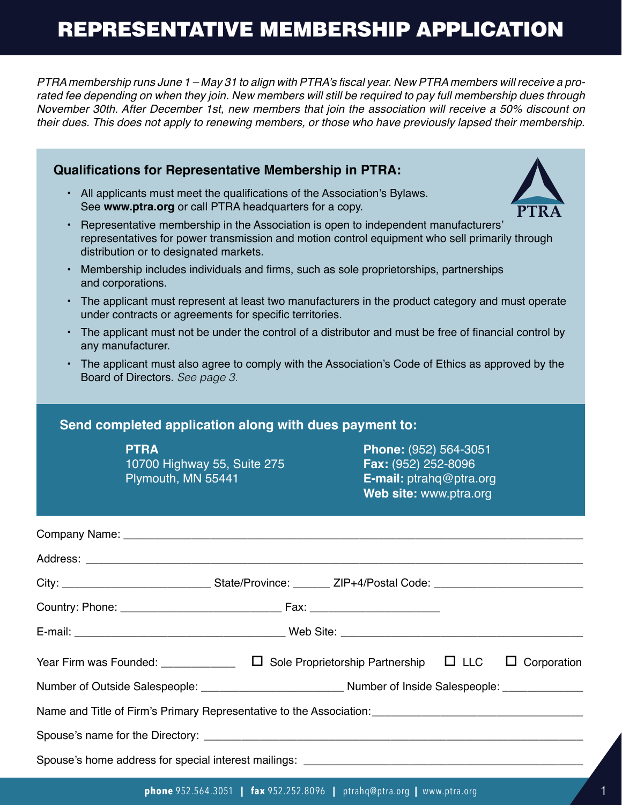## REPRESENTATIVE MEMBERSHIP APPLICATION

PTRA membership runs June 1 – May 31 to align with PTRA's fiscal year. New PTRA members will receive a prorated fee depending on when they join. New members will still be required to pay full membership dues through November 30th. After December 1st, new members that join the association will receive a 50% discount on their dues. This does not apply to renewing members, or those who have previously lapsed their membership.

| <b>Qualifications for Representative Membership in PTRA:</b>                                                                                                                                                                   |  |  |  |
|--------------------------------------------------------------------------------------------------------------------------------------------------------------------------------------------------------------------------------|--|--|--|
| All applicants must meet the qualifications of the Association's Bylaws.<br>$\bullet$<br>See www.ptra.org or call PTRA headquarters for a copy.                                                                                |  |  |  |
| Representative membership in the Association is open to independent manufacturers'<br>representatives for power transmission and motion control equipment who sell primarily through<br>distribution or to designated markets. |  |  |  |
| Membership includes individuals and firms, such as sole proprietorships, partnerships<br>$\bullet$<br>and corporations.                                                                                                        |  |  |  |
| The applicant must represent at least two manufacturers in the product category and must operate<br>$\bullet$<br>under contracts or agreements for specific territories.                                                       |  |  |  |
| The applicant must not be under the control of a distributor and must be free of financial control by<br>$\bullet$<br>any manufacturer.                                                                                        |  |  |  |
| The applicant must also agree to comply with the Association's Code of Ethics as approved by the<br>Board of Directors. See page 3.                                                                                            |  |  |  |
| Send completed application along with dues payment to:                                                                                                                                                                         |  |  |  |
| <b>PTRA</b><br>Phone: (952) 564-3051<br>Fax: (952) 252-8096<br>10700 Highway 55, Suite 275<br>E-mail: ptrahq@ptra.org<br>Plymouth, MN 55441<br>Web site: www.ptra.org                                                          |  |  |  |
|                                                                                                                                                                                                                                |  |  |  |
|                                                                                                                                                                                                                                |  |  |  |
| City: City: City: City: City: City: City: City: City: City: Content of the Content of the Content of City: City                                                                                                                |  |  |  |
|                                                                                                                                                                                                                                |  |  |  |
|                                                                                                                                                                                                                                |  |  |  |
| Year Firm was Founded: $\Box$ $\Box$ Sole Proprietorship Partnership $\Box$ LLC<br>$\Box$ Corporation                                                                                                                          |  |  |  |
|                                                                                                                                                                                                                                |  |  |  |
| Name and Title of Firm's Primary Representative to the Association: [19] Name and Title of Firm's Primary Representative to the Association:                                                                                   |  |  |  |
|                                                                                                                                                                                                                                |  |  |  |
|                                                                                                                                                                                                                                |  |  |  |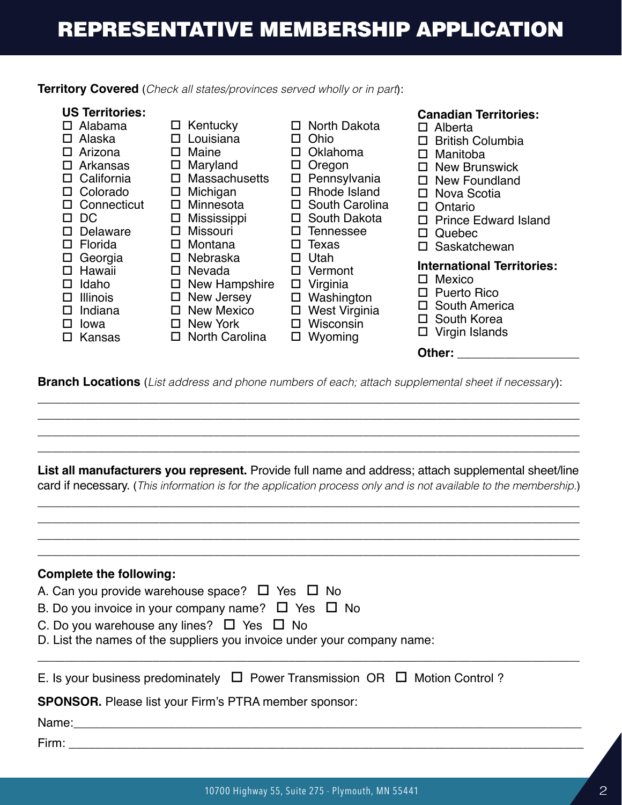## **Territory Covered** (*Check all states/provinces served wholly or in part*):

**US Territories:**  $\square$  Alabama  $\square$  Alaska  $\square$  Arizona  $\square$  Arkansas  $\square$  California  $\Box$  Colorado  $\square$  Connecticut o DC  $\square$  Delaware  $\Box$  Florida  $\square$  Georgia  $\square$  Hawaii  $\Box$  Idaho  $\square$  Illinois  $\square$  Indiana  $\square$  lowa  $\square$  Kansas **Canadian Territories:**  $\Box$  Alberta  $\square$  British Columbia  $\square$  Manitoba  $\square$  New Brunswick  $\square$  New Foundland  $\square$  Nova Scotia  $\square$  Ontario  $\Pi$  Prince Edward Island  $\Box$  Quebec  $\square$  Saskatchewan **International Territories:**  $\square$  Mexico o Puerto Rico  $\square$  South America  $\square$  South Korea  $\square$  Virgin Islands **Other: Designal**  $\square$  North Dakota  $\Box$  Ohio  $\square$  Oklahoma  $\square$  Oregon  $\square$  Pennsylvania  $\Box$  Rhode Island  $\square$  South Carolina  $\square$  South Dakota  $\square$  Tennessee  $\square$  Texas  $\square$  Utah □ Vermont  $\square$  Virginia  $\square$  Washington  $\square$  West Virginia  $\square$  Wisconsin  $\square$  Wyoming  $\square$  Kentucky  $\square$  Louisiana  $\square$  Maine  $\square$  Maryland  $\square$  Massachusetts  $\square$  Michigan  $\square$  Minnesota  $\square$  Mississippi  $\square$  Missouri  $\Box$  Montana  $\square$  Nebraska  $\square$  Nevada  $\square$  New Hampshire  $\square$  New Jersey  $\square$  New Mexico  $\square$  New York  $\square$  North Carolina

**Branch Locations** (*List address and phone numbers of each; attach supplemental sheet if necessary*):

\_\_\_\_\_\_\_\_\_\_\_\_\_\_\_\_\_\_\_\_\_\_\_\_\_\_\_\_\_\_\_\_\_\_\_\_\_\_\_\_\_\_\_\_\_\_\_\_\_\_\_\_\_\_\_\_\_\_\_\_\_\_\_\_\_\_\_\_\_\_\_\_\_\_\_\_\_\_\_\_ \_\_\_\_\_\_\_\_\_\_\_\_\_\_\_\_\_\_\_\_\_\_\_\_\_\_\_\_\_\_\_\_\_\_\_\_\_\_\_\_\_\_\_\_\_\_\_\_\_\_\_\_\_\_\_\_\_\_\_\_\_\_\_\_\_\_\_\_\_\_\_\_\_\_\_\_\_\_\_\_ \_\_\_\_\_\_\_\_\_\_\_\_\_\_\_\_\_\_\_\_\_\_\_\_\_\_\_\_\_\_\_\_\_\_\_\_\_\_\_\_\_\_\_\_\_\_\_\_\_\_\_\_\_\_\_\_\_\_\_\_\_\_\_\_\_\_\_\_\_\_\_\_\_\_\_\_\_\_\_\_ \_\_\_\_\_\_\_\_\_\_\_\_\_\_\_\_\_\_\_\_\_\_\_\_\_\_\_\_\_\_\_\_\_\_\_\_\_\_\_\_\_\_\_\_\_\_\_\_\_\_\_\_\_\_\_\_\_\_\_\_\_\_\_\_\_\_\_\_\_\_\_\_\_\_\_\_\_\_\_\_

**List all manufacturers you represent.** Provide full name and address; attach supplemental sheet/line card if necessary. (*This information is for the application process only and is not available to the membership.*)

\_\_\_\_\_\_\_\_\_\_\_\_\_\_\_\_\_\_\_\_\_\_\_\_\_\_\_\_\_\_\_\_\_\_\_\_\_\_\_\_\_\_\_\_\_\_\_\_\_\_\_\_\_\_\_\_\_\_\_\_\_\_\_\_\_\_\_\_\_\_\_\_\_\_\_\_\_\_\_\_ \_\_\_\_\_\_\_\_\_\_\_\_\_\_\_\_\_\_\_\_\_\_\_\_\_\_\_\_\_\_\_\_\_\_\_\_\_\_\_\_\_\_\_\_\_\_\_\_\_\_\_\_\_\_\_\_\_\_\_\_\_\_\_\_\_\_\_\_\_\_\_\_\_\_\_\_\_\_\_\_ \_\_\_\_\_\_\_\_\_\_\_\_\_\_\_\_\_\_\_\_\_\_\_\_\_\_\_\_\_\_\_\_\_\_\_\_\_\_\_\_\_\_\_\_\_\_\_\_\_\_\_\_\_\_\_\_\_\_\_\_\_\_\_\_\_\_\_\_\_\_\_\_\_\_\_\_\_\_\_\_

| <b>Complete the following:</b>                                                        |
|---------------------------------------------------------------------------------------|
| A. Can you provide warehouse space? $\Box$ Yes $\Box$ No                              |
| B. Do you invoice in your company name? $\Box$ Yes $\Box$ No                          |
| C. Do you warehouse any lines? $\Box$ Yes $\Box$ No                                   |
| D. List the names of the suppliers you invoice under your company name:               |
|                                                                                       |
| E. Is your business predominately $\Box$ Power Transmission OR $\Box$ Motion Control? |
| <b>SPONSOR.</b> Please list your Firm's PTRA member sponsor:                          |
| Name:__________                                                                       |
|                                                                                       |